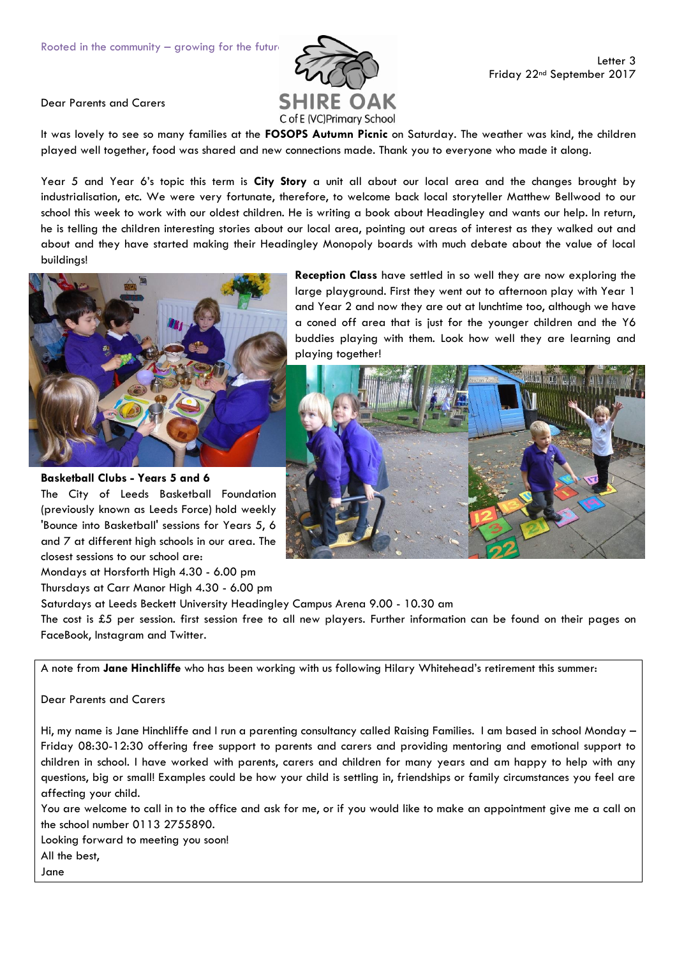

Dear Parents and Carers

It was lovely to see so many families at the **FOSOPS Autumn Picnic** on Saturday. The weather was kind, the children played well together, food was shared and new connections made. Thank you to everyone who made it along.

Year 5 and Year 6's topic this term is **City Story** a unit all about our local area and the changes brought by industrialisation, etc. We were very fortunate, therefore, to welcome back local storyteller Matthew Bellwood to our school this week to work with our oldest children. He is writing a book about Headingley and wants our help. In return, he is telling the children interesting stories about our local area, pointing out areas of interest as they walked out and about and they have started making their Headingley Monopoly boards with much debate about the value of local buildings!



**Basketball Clubs - Years 5 and 6** The City of Leeds Basketball Foundation (previously known as Leeds Force) hold weekly 'Bounce into Basketball' sessions for Years 5, 6 and 7 at different high schools in our area. The closest sessions to our school are:

Mondays at Horsforth High 4.30 - 6.00 pm Thursdays at Carr Manor High 4.30 - 6.00 pm

Saturdays at Leeds Beckett University Headingley Campus Arena 9.00 - 10.30 am

The cost is £5 per session. first session free to all new players. Further information can be found on their pages on FaceBook, Instagram and Twitter.

A note from **Jane Hinchliffe** who has been working with us following Hilary Whitehead's retirement this summer:

Dear Parents and Carers

Hi, my name is Jane Hinchliffe and I run a parenting consultancy called Raising Families. I am based in school Monday – Friday 08:30-12:30 offering free support to parents and carers and providing mentoring and emotional support to children in school. I have worked with parents, carers and children for many years and am happy to help with any questions, big or small! Examples could be how your child is settling in, friendships or family circumstances you feel are affecting your child.

You are welcome to call in to the office and ask for me, or if you would like to make an appointment give me a call on the school number 0113 2755890.

Looking forward to meeting you soon! All the best,

Jane

**Reception Class** have settled in so well they are now exploring the large playground. First they went out to afternoon play with Year 1 and Year 2 and now they are out at lunchtime too, although we have a coned off area that is just for the younger children and the Y6 buddies playing with them. Look how well they are learning and playing together!

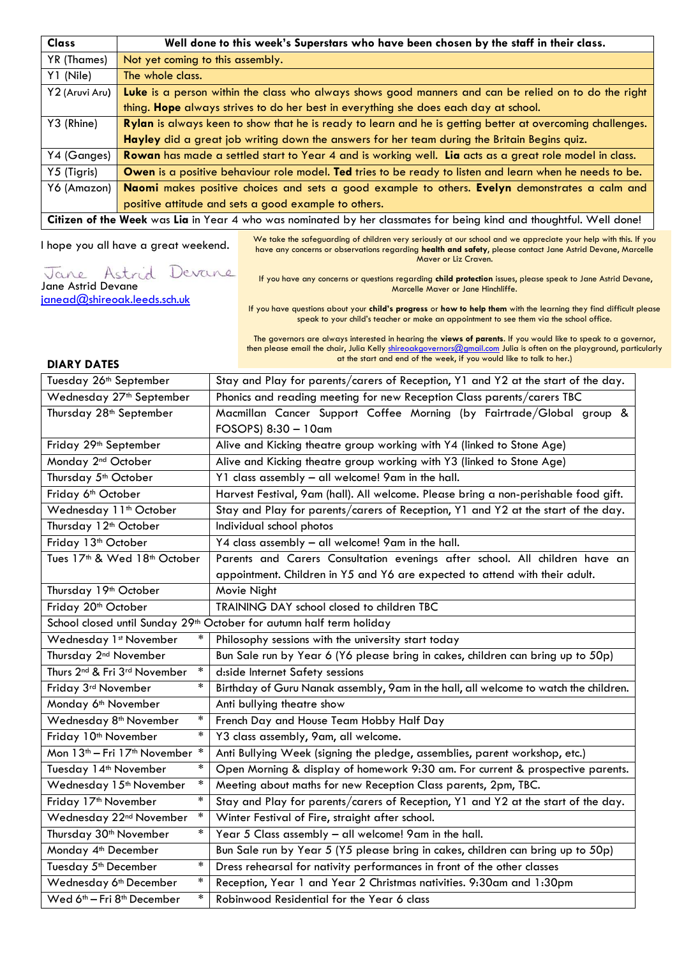| <b>Class</b>                                                                                                        | Well done to this week's Superstars who have been chosen by the staff in their class.                     |  |
|---------------------------------------------------------------------------------------------------------------------|-----------------------------------------------------------------------------------------------------------|--|
| YR (Thames)                                                                                                         | Not yet coming to this assembly.                                                                          |  |
| Y1 (Nile)                                                                                                           | The whole class.                                                                                          |  |
| Y2 (Aruvi Aru)                                                                                                      | Luke is a person within the class who always shows good manners and can be relied on to do the right      |  |
|                                                                                                                     | thing. Hope always strives to do her best in everything she does each day at school.                      |  |
| Y3 (Rhine)                                                                                                          | Rylan is always keen to show that he is ready to learn and he is getting better at overcoming challenges. |  |
|                                                                                                                     | Hayley did a great job writing down the answers for her team during the Britain Begins quiz.              |  |
| Y4 (Ganges)                                                                                                         | Rowan has made a settled start to Year 4 and is working well. Lia acts as a great role model in class.    |  |
| Y5 (Tigris)                                                                                                         | Owen is a positive behaviour role model. Ted tries to be ready to listen and learn when he needs to be.   |  |
| Y6 (Amazon)                                                                                                         | Naomi makes positive choices and sets a good example to others. Evelyn demonstrates a calm and            |  |
|                                                                                                                     | positive attitude and sets a good example to others.                                                      |  |
| Citizen of the Week was Lia in Year 4 who was nominated by her classmates for being kind and thoughtful. Well done! |                                                                                                           |  |

I hope you all have a great weekend.

We take the safeguarding of children very seriously at our school and we appreciate your help with this. If you have any concerns or observations regarding **health and safety**, please contact Jane Astrid Devane, Marcelle Maver or Liz Craven.

Jane Astrid Devane

[janead@shireoak.leeds.sch.uk](mailto:janead@shireoak.leeds.sch.uk)

If you have any concerns or questions regarding **child protection** issues, please speak to Jane Astrid Devane, Marcelle Maver or Jane Hinchliffe.

If you have questions about your **child's progress** or **how to help them** with the learning they find difficult please speak to your child's teacher or make an appointment to see them via the school office.

The governors are always interested in hearing the **views of parents**. If you would like to speak to a governor, then please email the chair, Julia Kell[y shireoakgovernors@gmail.com](mailto:shireoakgovernors@gmail.com) Julia is often on the playground, particularly at the start and end of the week, if you would like to talk to her.)

## **DIARY DATES**

| Tuesday 26 <sup>th</sup> September                                               | Stay and Play for parents/carers of Reception, Y1 and Y2 at the start of the day.    |  |  |  |
|----------------------------------------------------------------------------------|--------------------------------------------------------------------------------------|--|--|--|
| Wednesday 27 <sup>th</sup> September                                             | Phonics and reading meeting for new Reception Class parents/carers TBC               |  |  |  |
| Thursday 28 <sup>th</sup> September                                              | Macmillan Cancer Support Coffee Morning (by Fairtrade/Global group &                 |  |  |  |
|                                                                                  | FOSOPS) 8:30 - 10am                                                                  |  |  |  |
| Friday 29 <sup>th</sup> September                                                | Alive and Kicking theatre group working with Y4 (linked to Stone Age)                |  |  |  |
| Monday 2 <sup>nd</sup> October                                                   | Alive and Kicking theatre group working with Y3 (linked to Stone Age)                |  |  |  |
| Thursday 5 <sup>th</sup> October                                                 | Y1 class assembly - all welcome! 9am in the hall.                                    |  |  |  |
| Friday 6 <sup>th</sup> October                                                   | Harvest Festival, 9am (hall). All welcome. Please bring a non-perishable food gift.  |  |  |  |
| Wednesday 11 <sup>th</sup> October                                               | Stay and Play for parents/carers of Reception, Y1 and Y2 at the start of the day.    |  |  |  |
| Thursday 12 <sup>th</sup> October                                                | Individual school photos                                                             |  |  |  |
| Friday 13 <sup>th</sup> October                                                  | Y4 class assembly - all welcome! 9am in the hall.                                    |  |  |  |
| Tues 17 <sup>th</sup> & Wed 18 <sup>th</sup> October                             | Parents and Carers Consultation evenings after school. All children have an          |  |  |  |
|                                                                                  | appointment. Children in Y5 and Y6 are expected to attend with their adult.          |  |  |  |
| Thursday 19th October                                                            | Movie Night                                                                          |  |  |  |
| Friday 20th October                                                              | TRAINING DAY school closed to children TBC                                           |  |  |  |
| School closed until Sunday 29 <sup>th</sup> October for autumn half term holiday |                                                                                      |  |  |  |
| Wednesday 1st November<br>∗                                                      | Philosophy sessions with the university start today                                  |  |  |  |
| Thursday 2 <sup>nd</sup> November                                                | Bun Sale run by Year 6 (Y6 please bring in cakes, children can bring up to 50p)      |  |  |  |
| Thurs 2 <sup>nd</sup> & Fri 3 <sup>rd</sup> November<br>$\ast$                   | diside Internet Safety sessions                                                      |  |  |  |
| $\ast$<br>Friday 3rd November                                                    | Birthday of Guru Nanak assembly, 9am in the hall, all welcome to watch the children. |  |  |  |
| Monday 6 <sup>th</sup> November                                                  | Anti bullying theatre show                                                           |  |  |  |
| $\ast$<br>Wednesday 8 <sup>th</sup> November                                     | French Day and House Team Hobby Half Day                                             |  |  |  |
| $\ast$<br>Friday 10 <sup>th</sup> November                                       | Y3 class assembly, 9am, all welcome.                                                 |  |  |  |
| Mon 13 <sup>th</sup> - Fri 17 <sup>th</sup> November<br>$\ast$                   | Anti Bullying Week (signing the pledge, assemblies, parent workshop, etc.)           |  |  |  |
| $\ast$<br>Tuesday 14 <sup>th</sup> November                                      | Open Morning & display of homework 9:30 am. For current & prospective parents.       |  |  |  |
| Wednesday 15 <sup>th</sup> November                                              | Meeting about maths for new Reception Class parents, 2pm, TBC.                       |  |  |  |
| $\ast$<br>Friday 17 <sup>th</sup> November                                       | Stay and Play for parents/carers of Reception, Y1 and Y2 at the start of the day.    |  |  |  |
| Wednesday 22 <sup>nd</sup> November<br>$\ast$                                    | Winter Festival of Fire, straight after school.                                      |  |  |  |
| $\ast$<br>Thursday 30 <sup>th</sup> November                                     | Year 5 Class assembly - all welcome! 9am in the hall.                                |  |  |  |
| Monday 4 <sup>th</sup> December                                                  | Bun Sale run by Year 5 (Y5 please bring in cakes, children can bring up to 50p)      |  |  |  |
| $\ast$<br>Tuesday 5 <sup>th</sup> December                                       | Dress rehearsal for nativity performances in front of the other classes              |  |  |  |
| $\ast$<br>Wednesday 6 <sup>th</sup> December                                     | Reception, Year 1 and Year 2 Christmas nativities. 9:30am and 1:30pm                 |  |  |  |
| $\ast$<br>Wed 6 <sup>th</sup> - Fri 8 <sup>th</sup> December                     | Robinwood Residential for the Year 6 class                                           |  |  |  |